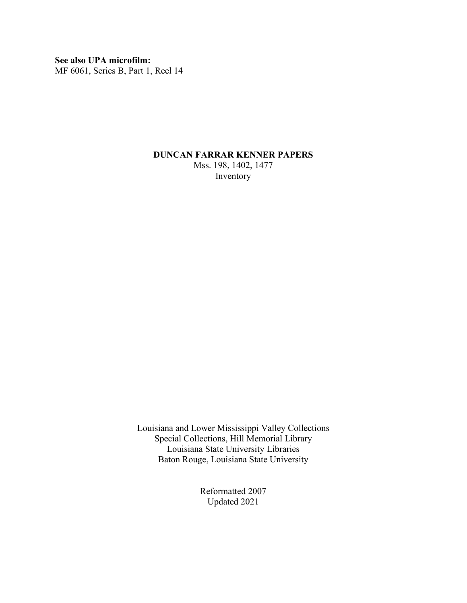**See also UPA microfilm:**  MF 6061, Series B, Part 1, Reel 14

## **DUNCAN FARRAR KENNER PAPERS** Mss. 198, 1402, 1477 Inventory

Louisiana and Lower Mississippi Valley Collections Special Collections, Hill Memorial Library Louisiana State University Libraries Baton Rouge, Louisiana State University

> Reformatted 2007 Updated 2021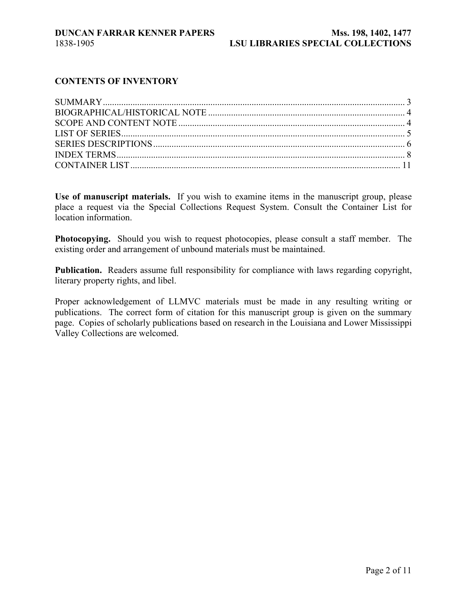## **CONTENTS OF INVENTORY**

**Use of manuscript materials.** If you wish to examine items in the manuscript group, please place a request via the Special Collections Request System. Consult the Container List for location information.

**Photocopying.** Should you wish to request photocopies, please consult a staff member. The existing order and arrangement of unbound materials must be maintained.

**Publication.** Readers assume full responsibility for compliance with laws regarding copyright, literary property rights, and libel.

Proper acknowledgement of LLMVC materials must be made in any resulting writing or publications. The correct form of citation for this manuscript group is given on the summary page. Copies of scholarly publications based on research in the Louisiana and Lower Mississippi Valley Collections are welcomed.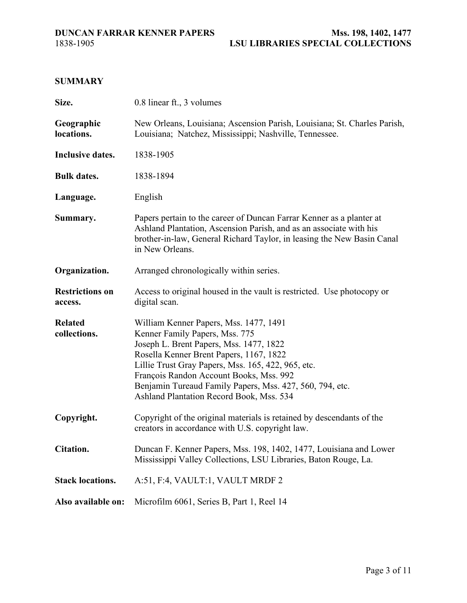## <span id="page-2-0"></span>**SUMMARY**

| Size.                             | 0.8 linear ft., 3 volumes                                                                                                                                                                                                                                                                                                                                               |
|-----------------------------------|-------------------------------------------------------------------------------------------------------------------------------------------------------------------------------------------------------------------------------------------------------------------------------------------------------------------------------------------------------------------------|
| Geographic<br>locations.          | New Orleans, Louisiana; Ascension Parish, Louisiana; St. Charles Parish,<br>Louisiana; Natchez, Mississippi; Nashville, Tennessee.                                                                                                                                                                                                                                      |
| Inclusive dates.                  | 1838-1905                                                                                                                                                                                                                                                                                                                                                               |
| <b>Bulk dates.</b>                | 1838-1894                                                                                                                                                                                                                                                                                                                                                               |
| Language.                         | English                                                                                                                                                                                                                                                                                                                                                                 |
| Summary.                          | Papers pertain to the career of Duncan Farrar Kenner as a planter at<br>Ashland Plantation, Ascension Parish, and as an associate with his<br>brother-in-law, General Richard Taylor, in leasing the New Basin Canal<br>in New Orleans.                                                                                                                                 |
| Organization.                     | Arranged chronologically within series.                                                                                                                                                                                                                                                                                                                                 |
| <b>Restrictions on</b><br>access. | Access to original housed in the vault is restricted. Use photocopy or<br>digital scan.                                                                                                                                                                                                                                                                                 |
| <b>Related</b><br>collections.    | William Kenner Papers, Mss. 1477, 1491<br>Kenner Family Papers, Mss. 775<br>Joseph L. Brent Papers, Mss. 1477, 1822<br>Rosella Kenner Brent Papers, 1167, 1822<br>Lillie Trust Gray Papers, Mss. 165, 422, 965, etc.<br>François Randon Account Books, Mss. 992<br>Benjamin Tureaud Family Papers, Mss. 427, 560, 794, etc.<br>Ashland Plantation Record Book, Mss. 534 |
| Copyright.                        | Copyright of the original materials is retained by descendants of the<br>creators in accordance with U.S. copyright law.                                                                                                                                                                                                                                                |
| Citation.                         | Duncan F. Kenner Papers, Mss. 198, 1402, 1477, Louisiana and Lower<br>Mississippi Valley Collections, LSU Libraries, Baton Rouge, La.                                                                                                                                                                                                                                   |
| <b>Stack locations.</b>           | A:51, F:4, VAULT:1, VAULT MRDF 2                                                                                                                                                                                                                                                                                                                                        |
| Also available on:                | Microfilm 6061, Series B, Part 1, Reel 14                                                                                                                                                                                                                                                                                                                               |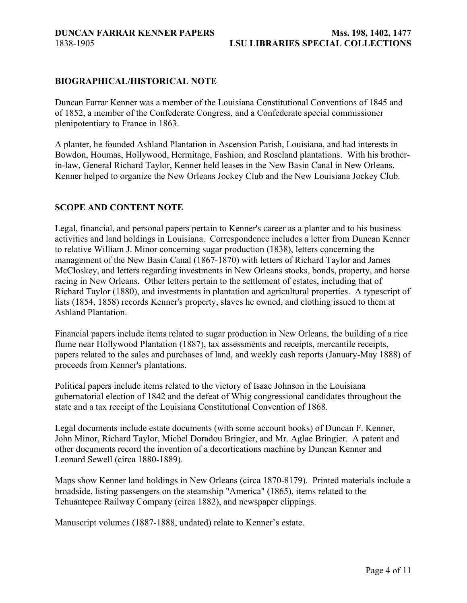### <span id="page-3-0"></span>**BIOGRAPHICAL/HISTORICAL NOTE**

Duncan Farrar Kenner was a member of the Louisiana Constitutional Conventions of 1845 and of 1852, a member of the Confederate Congress, and a Confederate special commissioner plenipotentiary to France in 1863.

A planter, he founded Ashland Plantation in Ascension Parish, Louisiana, and had interests in Bowdon, Houmas, Hollywood, Hermitage, Fashion, and Roseland plantations. With his brotherin-law, General Richard Taylor, Kenner held leases in the New Basin Canal in New Orleans. Kenner helped to organize the New Orleans Jockey Club and the New Louisiana Jockey Club.

### **SCOPE AND CONTENT NOTE**

Legal, financial, and personal papers pertain to Kenner's career as a planter and to his business activities and land holdings in Louisiana. Correspondence includes a letter from Duncan Kenner to relative William J. Minor concerning sugar production (1838), letters concerning the management of the New Basin Canal (1867-1870) with letters of Richard Taylor and James McCloskey, and letters regarding investments in New Orleans stocks, bonds, property, and horse racing in New Orleans. Other letters pertain to the settlement of estates, including that of Richard Taylor (1880), and investments in plantation and agricultural properties. A typescript of lists (1854, 1858) records Kenner's property, slaves he owned, and clothing issued to them at Ashland Plantation.

Financial papers include items related to sugar production in New Orleans, the building of a rice flume near Hollywood Plantation (1887), tax assessments and receipts, mercantile receipts, papers related to the sales and purchases of land, and weekly cash reports (January-May 1888) of proceeds from Kenner's plantations.

Political papers include items related to the victory of Isaac Johnson in the Louisiana gubernatorial election of 1842 and the defeat of Whig congressional candidates throughout the state and a tax receipt of the Louisiana Constitutional Convention of 1868.

Legal documents include estate documents (with some account books) of Duncan F. Kenner, John Minor, Richard Taylor, Michel Doradou Bringier, and Mr. Aglae Bringier. A patent and other documents record the invention of a decortications machine by Duncan Kenner and Leonard Sewell (circa 1880-1889).

Maps show Kenner land holdings in New Orleans (circa 1870-8179). Printed materials include a broadside, listing passengers on the steamship "America" (1865), items related to the Tehuantepec Railway Company (circa 1882), and newspaper clippings.

Manuscript volumes (1887-1888, undated) relate to Kenner's estate.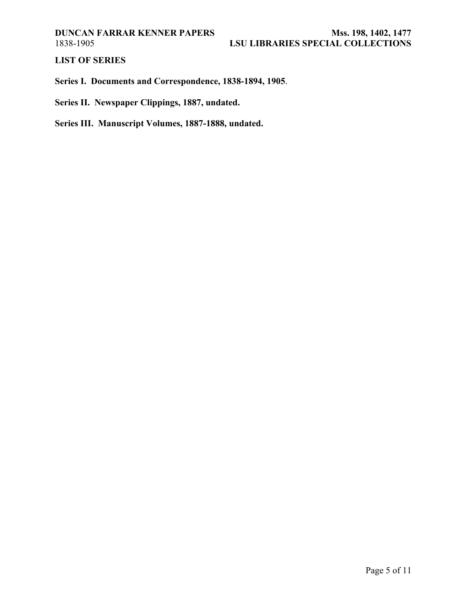## <span id="page-4-0"></span>**LIST OF SERIES**

**Series I. Documents and Correspondence, 1838-1894, 1905**.

**Series II. Newspaper Clippings, 1887, undated.**

**Series III. Manuscript Volumes, 1887-1888, undated.**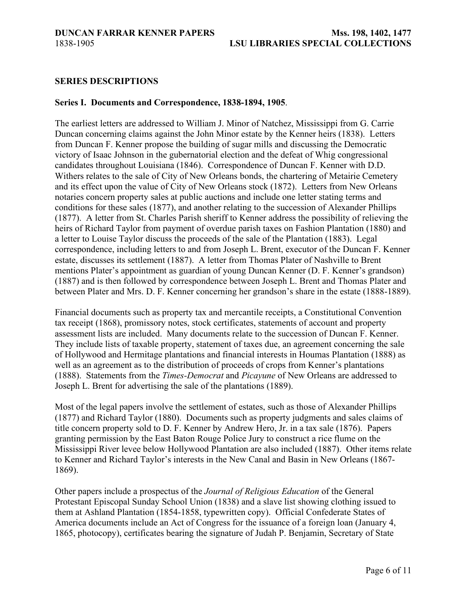### <span id="page-5-0"></span>**SERIES DESCRIPTIONS**

### **Series I. Documents and Correspondence, 1838-1894, 1905**.

The earliest letters are addressed to William J. Minor of Natchez, Mississippi from G. Carrie Duncan concerning claims against the John Minor estate by the Kenner heirs (1838). Letters from Duncan F. Kenner propose the building of sugar mills and discussing the Democratic victory of Isaac Johnson in the gubernatorial election and the defeat of Whig congressional candidates throughout Louisiana (1846). Correspondence of Duncan F. Kenner with D.D. Withers relates to the sale of City of New Orleans bonds, the chartering of Metairie Cemetery and its effect upon the value of City of New Orleans stock (1872). Letters from New Orleans notaries concern property sales at public auctions and include one letter stating terms and conditions for these sales (1877), and another relating to the succession of Alexander Phillips (1877). A letter from St. Charles Parish sheriff to Kenner address the possibility of relieving the heirs of Richard Taylor from payment of overdue parish taxes on Fashion Plantation (1880) and a letter to Louise Taylor discuss the proceeds of the sale of the Plantation (1883). Legal correspondence, including letters to and from Joseph L. Brent, executor of the Duncan F. Kenner estate, discusses its settlement (1887). A letter from Thomas Plater of Nashville to Brent mentions Plater's appointment as guardian of young Duncan Kenner (D. F. Kenner's grandson) (1887) and is then followed by correspondence between Joseph L. Brent and Thomas Plater and between Plater and Mrs. D. F. Kenner concerning her grandson's share in the estate (1888-1889).

Financial documents such as property tax and mercantile receipts, a Constitutional Convention tax receipt (1868), promissory notes, stock certificates, statements of account and property assessment lists are included. Many documents relate to the succession of Duncan F. Kenner. They include lists of taxable property, statement of taxes due, an agreement concerning the sale of Hollywood and Hermitage plantations and financial interests in Houmas Plantation (1888) as well as an agreement as to the distribution of proceeds of crops from Kenner's plantations (1888). Statements from the *Times-Democrat* and *Picayune* of New Orleans are addressed to Joseph L. Brent for advertising the sale of the plantations (1889).

Most of the legal papers involve the settlement of estates, such as those of Alexander Phillips (1877) and Richard Taylor (1880). Documents such as property judgments and sales claims of title concern property sold to D. F. Kenner by Andrew Hero, Jr. in a tax sale (1876). Papers granting permission by the East Baton Rouge Police Jury to construct a rice flume on the Mississippi River levee below Hollywood Plantation are also included (1887). Other items relate to Kenner and Richard Taylor's interests in the New Canal and Basin in New Orleans (1867- 1869).

Other papers include a prospectus of the *Journal of Religious Education* of the General Protestant Episcopal Sunday School Union (1838) and a slave list showing clothing issued to them at Ashland Plantation (1854-1858, typewritten copy). Official Confederate States of America documents include an Act of Congress for the issuance of a foreign loan (January 4, 1865, photocopy), certificates bearing the signature of Judah P. Benjamin, Secretary of State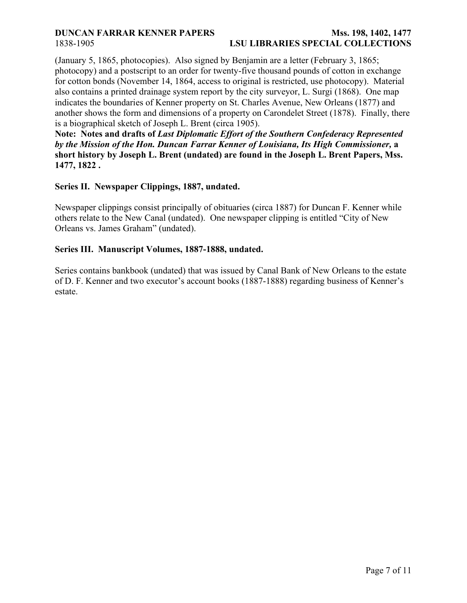**DUNCAN FARRAR KENNER PAPERS Mss. 198, 1402, 1477** 1838-1905 **LSU LIBRARIES SPECIAL COLLECTIONS**

(January 5, 1865, photocopies). Also signed by Benjamin are a letter (February 3, 1865; photocopy) and a postscript to an order for twenty-five thousand pounds of cotton in exchange for cotton bonds (November 14, 1864, access to original is restricted, use photocopy). Material also contains a printed drainage system report by the city surveyor, L. Surgi (1868). One map indicates the boundaries of Kenner property on St. Charles Avenue, New Orleans (1877) and another shows the form and dimensions of a property on Carondelet Street (1878). Finally, there is a biographical sketch of Joseph L. Brent (circa 1905).

**Note: Notes and drafts of** *Last Diplomatic Effort of the Southern Confederacy Represented by the Mission of the Hon. Duncan Farrar Kenner of Louisiana, Its High Commissioner,* **a short history by Joseph L. Brent (undated) are found in the Joseph L. Brent Papers, Mss. 1477, 1822 .**

### **Series II. Newspaper Clippings, 1887, undated.**

Newspaper clippings consist principally of obituaries (circa 1887) for Duncan F. Kenner while others relate to the New Canal (undated). One newspaper clipping is entitled "City of New Orleans vs. James Graham" (undated).

### **Series III. Manuscript Volumes, 1887-1888, undated.**

Series contains bankbook (undated) that was issued by Canal Bank of New Orleans to the estate of D. F. Kenner and two executor's account books (1887-1888) regarding business of Kenner's estate.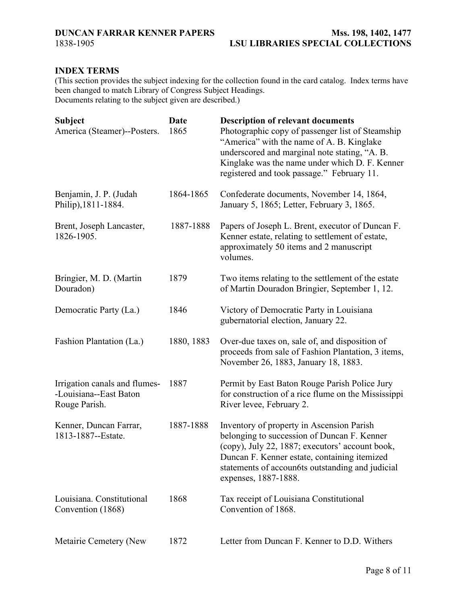# <span id="page-7-0"></span>**INDEX TERMS**

(This section provides the subject indexing for the collection found in the card catalog. Index terms have been changed to match Library of Congress Subject Headings. Documents relating to the subject given are described.)

| <b>Subject</b><br>America (Steamer)--Posters.                            | <b>Date</b><br>1865 | <b>Description of relevant documents</b><br>Photographic copy of passenger list of Steamship<br>"America" with the name of A. B. Kinglake<br>underscored and marginal note stating, "A. B.<br>Kinglake was the name under which D. F. Kenner<br>registered and took passage." February 11. |
|--------------------------------------------------------------------------|---------------------|--------------------------------------------------------------------------------------------------------------------------------------------------------------------------------------------------------------------------------------------------------------------------------------------|
| Benjamin, J. P. (Judah<br>Philip), 1811-1884.                            | 1864-1865           | Confederate documents, November 14, 1864,<br>January 5, 1865; Letter, February 3, 1865.                                                                                                                                                                                                    |
| Brent, Joseph Lancaster,<br>1826-1905.                                   | 1887-1888           | Papers of Joseph L. Brent, executor of Duncan F.<br>Kenner estate, relating to settlement of estate,<br>approximately 50 items and 2 manuscript<br>volumes.                                                                                                                                |
| Bringier, M. D. (Martin<br>Douradon)                                     | 1879                | Two items relating to the settlement of the estate<br>of Martin Douradon Bringier, September 1, 12.                                                                                                                                                                                        |
| Democratic Party (La.)                                                   | 1846                | Victory of Democratic Party in Louisiana<br>gubernatorial election, January 22.                                                                                                                                                                                                            |
| Fashion Plantation (La.)                                                 | 1880, 1883          | Over-due taxes on, sale of, and disposition of<br>proceeds from sale of Fashion Plantation, 3 items,<br>November 26, 1883, January 18, 1883.                                                                                                                                               |
| Irrigation canals and flumes-<br>-Louisiana--East Baton<br>Rouge Parish. | 1887                | Permit by East Baton Rouge Parish Police Jury<br>for construction of a rice flume on the Mississippi<br>River levee, February 2.                                                                                                                                                           |
| Kenner, Duncan Farrar,<br>1813-1887--Estate.                             | 1887-1888           | Inventory of property in Ascension Parish<br>belonging to succession of Duncan F. Kenner<br>(copy), July 22, 1887; executors' account book,<br>Duncan F. Kenner estate, containing itemized<br>statements of accoun6ts outstanding and judicial<br>expenses, 1887-1888.                    |
| Louisiana. Constitutional<br>Convention (1868)                           | 1868                | Tax receipt of Louisiana Constitutional<br>Convention of 1868.                                                                                                                                                                                                                             |
| Metairie Cemetery (New                                                   | 1872                | Letter from Duncan F. Kenner to D.D. Withers                                                                                                                                                                                                                                               |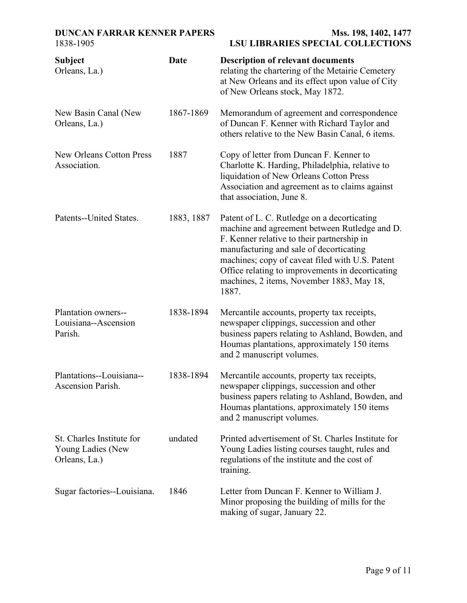| <b>DUNCAN FARRAR KENNER PAPERS</b><br>1838-1905        |            | Mss. 198, 1402, 1477<br><b>LSU LIBRARIES SPECIAL COLLECTIONS</b>                                                                                                                                                                                                                                                                                   |
|--------------------------------------------------------|------------|----------------------------------------------------------------------------------------------------------------------------------------------------------------------------------------------------------------------------------------------------------------------------------------------------------------------------------------------------|
| <b>Subject</b><br>Orleans, La.)                        | Date       | <b>Description of relevant documents</b><br>relating the chartering of the Metairie Cemetery<br>at New Orleans and its effect upon value of City<br>of New Orleans stock, May 1872.                                                                                                                                                                |
| New Basin Canal (New<br>Orleans, La.)                  | 1867-1869  | Memorandum of agreement and correspondence<br>of Duncan F. Kenner with Richard Taylor and<br>others relative to the New Basin Canal, 6 items.                                                                                                                                                                                                      |
| <b>New Orleans Cotton Press</b><br>Association.        | 1887       | Copy of letter from Duncan F. Kenner to<br>Charlotte K. Harding, Philadelphia, relative to<br>liquidation of New Orleans Cotton Press<br>Association and agreement as to claims against<br>that association, June 8.                                                                                                                               |
| Patents--United States.                                | 1883, 1887 | Patent of L. C. Rutledge on a decorticating<br>machine and agreement between Rutledge and D.<br>F. Kenner relative to their partnership in<br>manufacturing and sale of decorticating<br>machines; copy of caveat filed with U.S. Patent<br>Office relating to improvements in decorticating<br>machines, 2 items, November 1883, May 18,<br>1887. |
| Plantation owners--<br>Louisiana--Ascension<br>Parish. | 1838-1894  | Mercantile accounts, property tax receipts,<br>newspaper clippings, succession and other<br>business papers relating to Ashland, Bowden, and<br>Houmas plantations, approximately 150 items<br>and 2 manuscript volumes.                                                                                                                           |
| Plantations--Louisiana--<br>Ascension Parish.          | 1838-1894  | Mercantile accounts, property tax receipts,<br>newspaper clippings, succession and other<br>business papers relating to Ashland, Bowden, and<br>Houmas plantations, approximately 150 items<br>and 2 manuscript volumes.                                                                                                                           |

| St. Charles Institute for<br>Young Ladies (New<br>Orleans, La.) | undated | Printed advertisement of St. Charles Institute for<br>Young Ladies listing courses taught, rules and<br>regulations of the institute and the cost of<br>training. |
|-----------------------------------------------------------------|---------|-------------------------------------------------------------------------------------------------------------------------------------------------------------------|
| Sugar factories--Louisiana.                                     | 1846    | Letter from Duncan F. Kenner to William J.<br>Minor proposing the building of mills for the                                                                       |

making of sugar, January 22.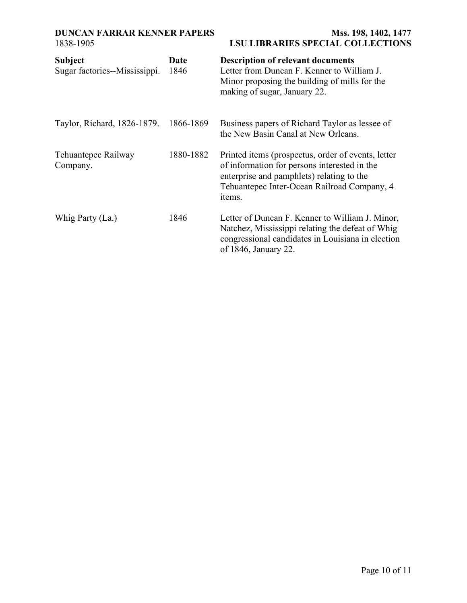| <b>DUNCAN FARRAR KENNER PAPERS</b><br>1838-1905 |              | Mss. 198, 1402, 1477<br><b>LSU LIBRARIES SPECIAL COLLECTIONS</b>                                                                                                                                         |  |
|-------------------------------------------------|--------------|----------------------------------------------------------------------------------------------------------------------------------------------------------------------------------------------------------|--|
| <b>Subject</b><br>Sugar factories--Mississippi. | Date<br>1846 | <b>Description of relevant documents</b><br>Letter from Duncan F. Kenner to William J.<br>Minor proposing the building of mills for the<br>making of sugar, January 22.                                  |  |
| Taylor, Richard, 1826-1879.                     | 1866-1869    | Business papers of Richard Taylor as lessee of<br>the New Basin Canal at New Orleans.                                                                                                                    |  |
| Tehuantepec Railway<br>Company.                 | 1880-1882    | Printed items (prospectus, order of events, letter<br>of information for persons interested in the<br>enterprise and pamphlets) relating to the<br>Tehuantepec Inter-Ocean Railroad Company, 4<br>items. |  |
| Whig Party (La.)                                | 1846         | Letter of Duncan F. Kenner to William J. Minor,<br>Natchez, Mississippi relating the defeat of Whig<br>congressional candidates in Louisiana in election<br>of 1846, January 22.                         |  |